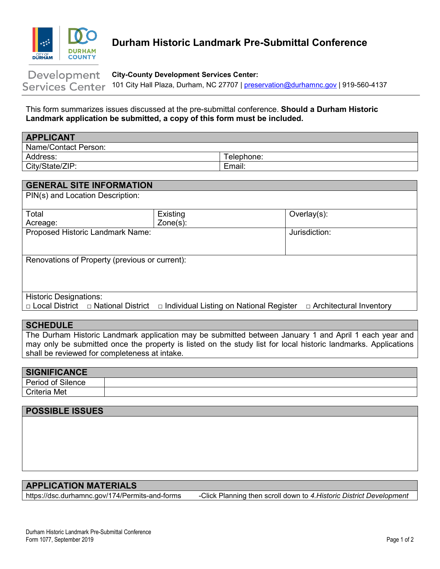

# <span id="page-0-0"></span>**Durham Historic Landmark Pre-Submittal Conference**

#### Development **City-County Development Services Center:** 101 City Hall Plaza, Durham, NC 27707 | [preservation@durhamnc.gov](mailto:preservation@durhamnc.gov) | 919-560-4137 **Services Center**

This form summarizes issues discussed at the pre-submittal conference. **Should a Durham Historic Landmark application be submitted, a copy of this form must be included.**

| <b>APPLICANT</b>     |            |
|----------------------|------------|
| Name/Contact Person: |            |
| Address:             | Telephone: |
| City/State/ZIP:      | Email:     |

| <b>GENERAL SITE INFORMATION</b>                |                                                |                                |
|------------------------------------------------|------------------------------------------------|--------------------------------|
| PIN(s) and Location Description:               |                                                |                                |
|                                                |                                                |                                |
| Total                                          | Existing                                       | Overlay $(s)$ :                |
| Acreage:                                       | $Zone(s)$ :                                    |                                |
| Proposed Historic Landmark Name:               |                                                | Jurisdiction:                  |
|                                                |                                                |                                |
|                                                |                                                |                                |
| Renovations of Property (previous or current): |                                                |                                |
|                                                |                                                |                                |
|                                                |                                                |                                |
|                                                |                                                |                                |
| <b>Historic Designations:</b>                  |                                                |                                |
| $\Box$ Local District $\Box$ National District | $\Box$ Individual Listing on National Register | $\Box$ Architectural Inventory |

### **SCHEDULE**

The Durham Historic Landmark application may be submitted between January 1 and April 1 each year and may only be submitted once the property is listed on the study list for local historic landmarks. Applications shall be reviewed for completeness at intake.

| <b>SIGNIFICANCE</b> |  |
|---------------------|--|
| Period of Silence   |  |
| Criteria Met        |  |

## **POSSIBLE ISSUES**

# **APPLICATION MATERIALS**

[https://dsc.durhamnc.gov/174/Permits-and-f](file://DURHAM_MIS/PLANNING/Forms/Master%20Forms/www.durhamnc.gov/historicpreservation)[orms](https://dsc.durhamnc.gov/174/Permits-and-forms) -Click Planning then scroll down to *4.Historic District Development*